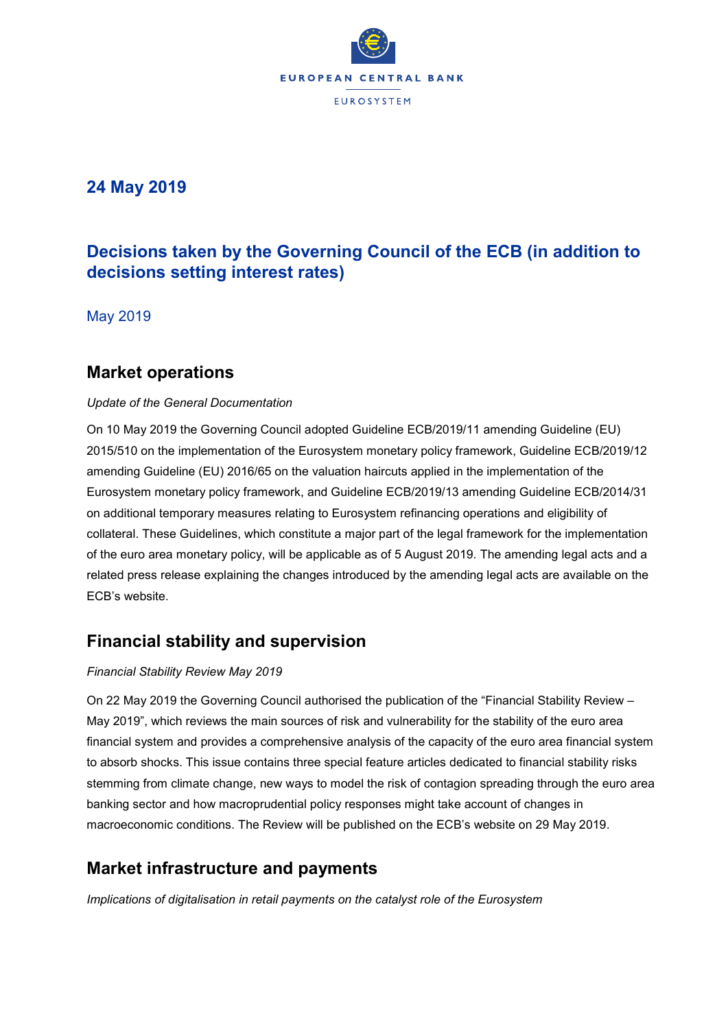

## **24 May 2019**

# **Decisions taken by the Governing Council of the ECB (in addition to decisions setting interest rates)**

May 2019

### **Market operations**

### *Update of the General Documentation*

On 10 May 2019 the Governing Council adopted Guideline ECB/2019/11 amending Guideline (EU) 2015/510 on the implementation of the Eurosystem monetary policy framework, Guideline ECB/2019/12 amending Guideline (EU) 2016/65 on the valuation haircuts applied in the implementation of the Eurosystem monetary policy framework, and Guideline ECB/2019/13 amending Guideline ECB/2014/31 on additional temporary measures relating to Eurosystem refinancing operations and eligibility of collateral. These Guidelines, which constitute a major part of the legal framework for the implementation of the euro area monetary policy, will be applicable as of 5 August 2019. The amending legal acts and a related press release explaining the changes introduced by the amending legal acts are available on the ECB's website.

# **Financial stability and supervision**

### *Financial Stability Review May 2019*

On 22 May 2019 the Governing Council authorised the publication of the "Financial Stability Review – May 2019", which reviews the main sources of risk and vulnerability for the stability of the euro area financial system and provides a comprehensive analysis of the capacity of the euro area financial system to absorb shocks. This issue contains three special feature articles dedicated to financial stability risks stemming from climate change, new ways to model the risk of contagion spreading through the euro area banking sector and how macroprudential policy responses might take account of changes in macroeconomic conditions. The Review will be published on the ECB's website on 29 May 2019.

### **Market infrastructure and payments**

*Implications of digitalisation in retail payments on the catalyst role of the Eurosystem*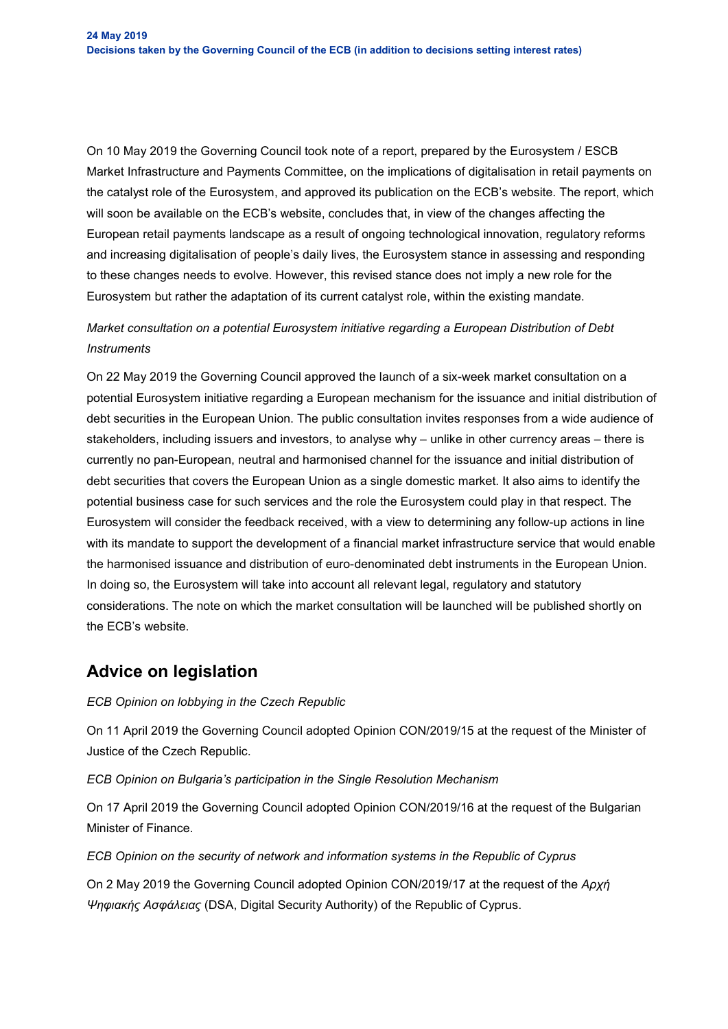On 10 May 2019 the Governing Council took note of a report, prepared by the Eurosystem / ESCB Market Infrastructure and Payments Committee, on the implications of digitalisation in retail payments on the catalyst role of the Eurosystem, and approved its publication on the ECB's website. The report, which will soon be available on the ECB's website, concludes that, in view of the changes affecting the European retail payments landscape as a result of ongoing technological innovation, regulatory reforms and increasing digitalisation of people's daily lives, the Eurosystem stance in assessing and responding to these changes needs to evolve. However, this revised stance does not imply a new role for the Eurosystem but rather the adaptation of its current catalyst role, within the existing mandate.

### *Market consultation on a potential Eurosystem initiative regarding a European Distribution of Debt Instruments*

On 22 May 2019 the Governing Council approved the launch of a six-week market consultation on a potential Eurosystem initiative regarding a European mechanism for the issuance and initial distribution of debt securities in the European Union. The public consultation invites responses from a wide audience of stakeholders, including issuers and investors, to analyse why – unlike in other currency areas – there is currently no pan-European, neutral and harmonised channel for the issuance and initial distribution of debt securities that covers the European Union as a single domestic market. It also aims to identify the potential business case for such services and the role the Eurosystem could play in that respect. The Eurosystem will consider the feedback received, with a view to determining any follow-up actions in line with its mandate to support the development of a financial market infrastructure service that would enable the harmonised issuance and distribution of euro-denominated debt instruments in the European Union. In doing so, the Eurosystem will take into account all relevant legal, regulatory and statutory considerations. The note on which the market consultation will be launched will be published shortly on the ECB's website.

### **Advice on legislation**

### *ECB Opinion on lobbying in the Czech Republic*

On 11 April 2019 the Governing Council adopted Opinion CON/2019/15 at the request of the Minister of Justice of the Czech Republic.

*ECB Opinion on Bulgaria's participation in the Single Resolution Mechanism*

On 17 April 2019 the Governing Council adopted Opinion CON/2019/16 at the request of the Bulgarian Minister of Finance.

*ECB Opinion on the security of network and information systems in the Republic of Cyprus*

On 2 May 2019 the Governing Council adopted Opinion CON/2019/17 at the request of the *Αρχή Ψηφιακής Ασφάλειας* (DSA, Digital Security Authority) of the Republic of Cyprus.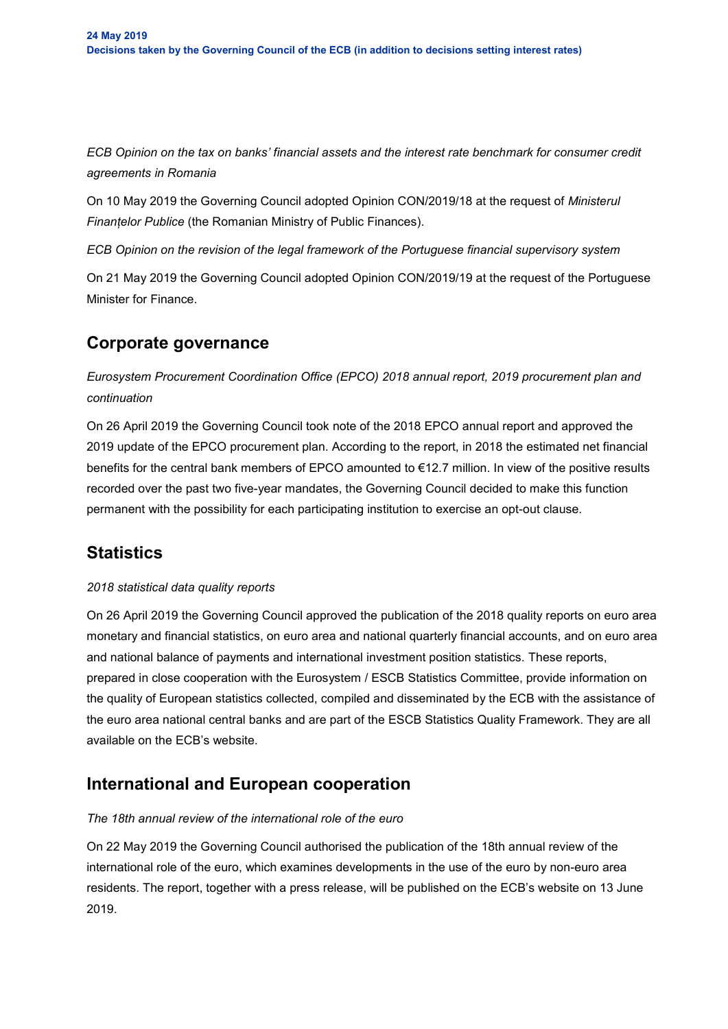*ECB Opinion on the tax on banks' financial assets and the interest rate benchmark for consumer credit agreements in Romania*

On 10 May 2019 the Governing Council adopted Opinion CON/2019/18 at the request of *Ministerul Finanțelor Publice* (the Romanian Ministry of Public Finances).

*ECB Opinion on the revision of the legal framework of the Portuguese financial supervisory system*

On 21 May 2019 the Governing Council adopted Opinion CON/2019/19 at the request of the Portuguese Minister for Finance.

### **Corporate governance**

*Eurosystem Procurement Coordination Office (EPCO) 2018 annual report, 2019 procurement plan and continuation*

On 26 April 2019 the Governing Council took note of the 2018 EPCO annual report and approved the 2019 update of the EPCO procurement plan. According to the report, in 2018 the estimated net financial benefits for the central bank members of EPCO amounted to €12.7 million. In view of the positive results recorded over the past two five-year mandates, the Governing Council decided to make this function permanent with the possibility for each participating institution to exercise an opt-out clause.

# **Statistics**

### *2018 statistical data quality reports*

On 26 April 2019 the Governing Council approved the publication of the 2018 quality reports on euro area monetary and financial statistics, on euro area and national quarterly financial accounts, and on euro area and national balance of payments and international investment position statistics. These reports, prepared in close cooperation with the Eurosystem / ESCB Statistics Committee, provide information on the quality of European statistics collected, compiled and disseminated by the ECB with the assistance of the euro area national central banks and are part of the ESCB Statistics Quality Framework. They are all available on the ECB's website.

### **International and European cooperation**

### *The 18th annual review of the international role of the euro*

On 22 May 2019 the Governing Council authorised the publication of the 18th annual review of the international role of the euro, which examines developments in the use of the euro by non-euro area residents. The report, together with a press release, will be published on the ECB's website on 13 June 2019.